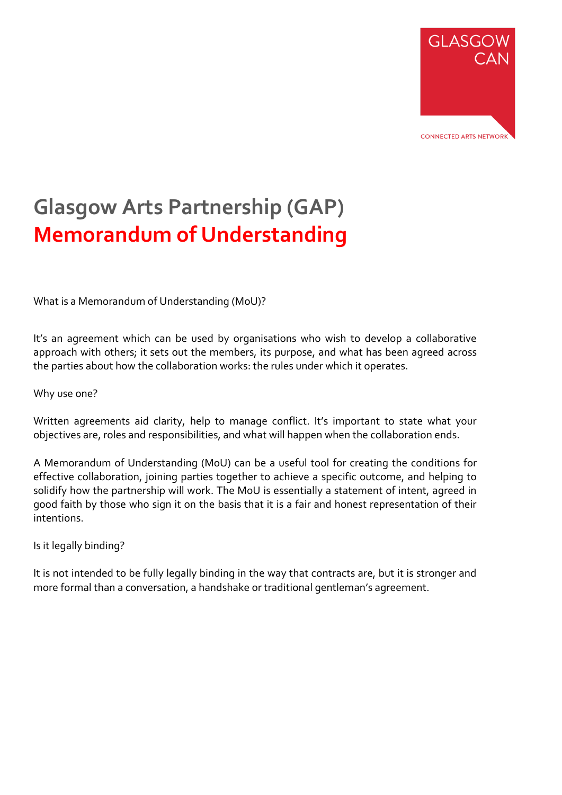

# **Glasgow Arts Partnership (GAP) Memorandum of Understanding**

What is a Memorandum of Understanding (MoU)?

It's an agreement which can be used by organisations who wish to develop a collaborative approach with others; it sets out the members, its purpose, and what has been agreed across the parties about how the collaboration works: the rules under which it operates.

#### Why use one?

Written agreements aid clarity, help to manage conflict. It's important to state what your objectives are, roles and responsibilities, and what will happen when the collaboration ends.

A Memorandum of Understanding (MoU) can be a useful tool for creating the conditions for effective collaboration, joining parties together to achieve a specific outcome, and helping to solidify how the partnership will work. The MoU is essentially a statement of intent, agreed in good faith by those who sign it on the basis that it is a fair and honest representation of their intentions.

#### Is it legally binding?

It is not intended to be fully legally binding in the way that contracts are, but it is stronger and more formal than a conversation, a handshake or traditional gentleman's agreement.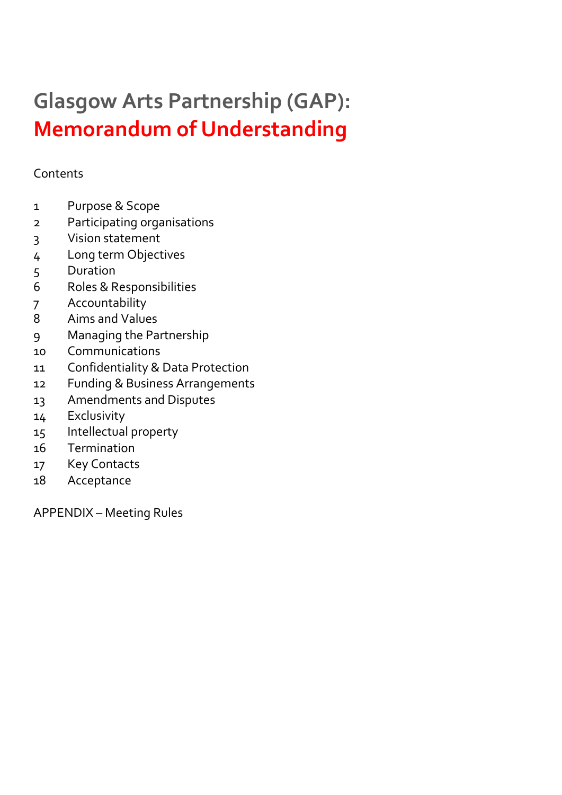# **Glasgow Arts Partnership (GAP): Memorandum of Understanding**

## **Contents**

- Purpose & Scope
- Participating organisations
- 3 Vision statement
- Long term Objectives
- Duration
- Roles & Responsibilities
- Accountability
- Aims and Values
- Managing the Partnership
- Communications
- Confidentiality & Data Protection
- Funding & Business Arrangements
- 13 Amendments and Disputes
- Exclusivity
- Intellectual property
- Termination
- Key Contacts
- Acceptance

APPENDIX – Meeting Rules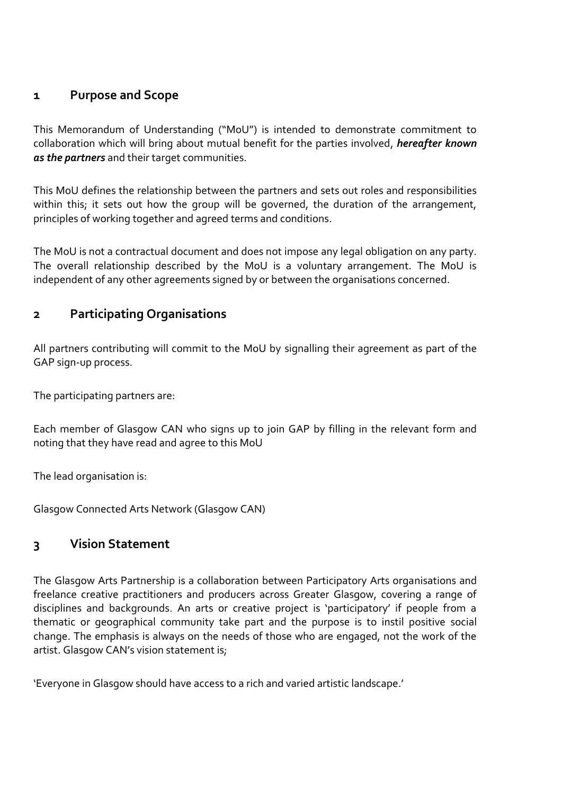## **1 Purpose and Scope**

This Memorandum of Understanding ("MoU") is intended to demonstrate commitment to collaboration which will bring about mutual benefit for the parties involved, *hereafter known as the partners* and their target communities.

This MoU defines the relationship between the partners and sets out roles and responsibilities within this; it sets out how the group will be governed, the duration of the arrangement, principles of working together and agreed terms and conditions.

The MoU is not a contractual document and does not impose any legal obligation on any party. The overall relationship described by the MoU is a voluntary arrangement. The MoU is independent of any other agreements signed by or between the organisations concerned.

## **2 Participating Organisations**

All partners contributing will commit to the MoU by signalling their agreement as part of the GAP sign-up process.

The participating partners are:

Each member of Glasgow CAN who signs up to join GAP by filling in the relevant form and noting that they have read and agree to this MoU

The lead organisation is:

Glasgow Connected Arts Network (Glasgow CAN)

## **3 Vision Statement**

The Glasgow Arts Partnership is a collaboration between Participatory Arts organisations and freelance creative practitioners and producers across Greater Glasgow, covering a range of disciplines and backgrounds. An arts or creative project is 'participatory' if people from a thematic or geographical community take part and the purpose is to instil positive social change. The emphasis is always on the needs of those who are engaged, not the work of the artist. Glasgow CAN's vision statement is;

'Everyone in Glasgow should have access to a rich and varied artistic landscape.'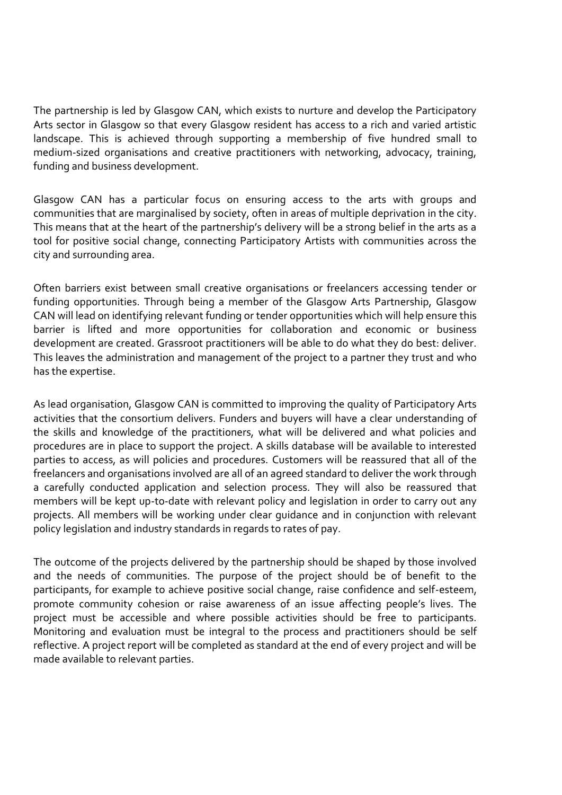The partnership is led by Glasgow CAN, which exists to nurture and develop the Participatory Arts sector in Glasgow so that every Glasgow resident has access to a rich and varied artistic landscape. This is achieved through supporting a membership of five hundred small to medium-sized organisations and creative practitioners with networking, advocacy, training, funding and business development.

Glasgow CAN has a particular focus on ensuring access to the arts with groups and communities that are marginalised by society, often in areas of multiple deprivation in the city. This means that at the heart of the partnership's delivery will be a strong belief in the arts as a tool for positive social change, connecting Participatory Artists with communities across the city and surrounding area.

Often barriers exist between small creative organisations or freelancers accessing tender or funding opportunities. Through being a member of the Glasgow Arts Partnership, Glasgow CAN will lead on identifying relevant funding or tender opportunities which will help ensure this barrier is lifted and more opportunities for collaboration and economic or business development are created. Grassroot practitioners will be able to do what they do best: deliver. This leaves the administration and management of the project to a partner they trust and who has the expertise.

As lead organisation, Glasgow CAN is committed to improving the quality of Participatory Arts activities that the consortium delivers. Funders and buyers will have a clear understanding of the skills and knowledge of the practitioners, what will be delivered and what policies and procedures are in place to support the project. A skills database will be available to interested parties to access, as will policies and procedures. Customers will be reassured that all of the freelancers and organisations involved are all of an agreed standard to deliver the work through a carefully conducted application and selection process. They will also be reassured that members will be kept up-to-date with relevant policy and legislation in order to carry out any projects. All members will be working under clear guidance and in conjunction with relevant policy legislation and industry standards in regards to rates of pay.

The outcome of the projects delivered by the partnership should be shaped by those involved and the needs of communities. The purpose of the project should be of benefit to the participants, for example to achieve positive social change, raise confidence and self-esteem, promote community cohesion or raise awareness of an issue affecting people's lives. The project must be accessible and where possible activities should be free to participants. Monitoring and evaluation must be integral to the process and practitioners should be self reflective. A project report will be completed as standard at the end of every project and will be made available to relevant parties.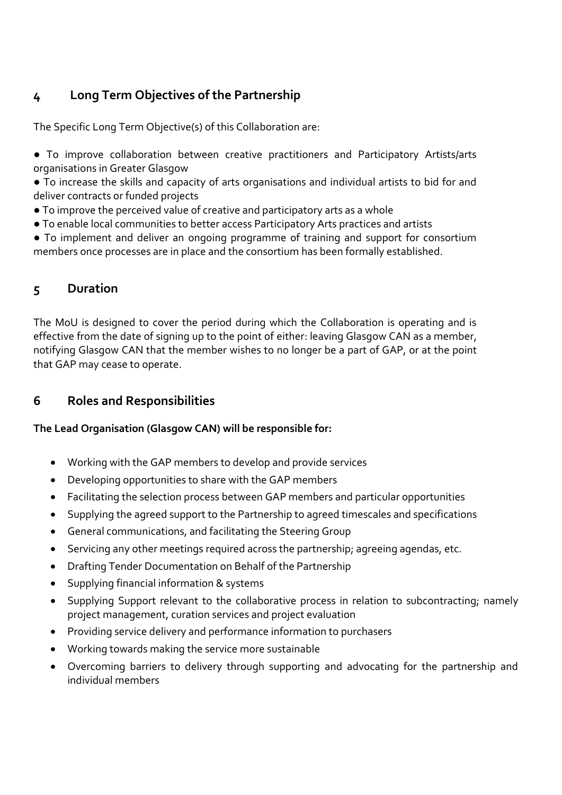## **4 Long Term Objectives of the Partnership**

The Specific Long Term Objective(s) of this Collaboration are:

- To improve collaboration between creative practitioners and Participatory Artists/arts organisations in Greater Glasgow
- To increase the skills and capacity of arts organisations and individual artists to bid for and deliver contracts or funded projects
- To improve the perceived value of creative and participatory arts as a whole
- To enable local communities to better access Participatory Arts practices and artists
- To implement and deliver an ongoing programme of training and support for consortium members once processes are in place and the consortium has been formally established.

## **5 Duration**

The MoU is designed to cover the period during which the Collaboration is operating and is effective from the date of signing up to the point of either: leaving Glasgow CAN as a member, notifying Glasgow CAN that the member wishes to no longer be a part of GAP, or at the point that GAP may cease to operate.

## **6 Roles and Responsibilities**

#### **The Lead Organisation (Glasgow CAN) will be responsible for:**

- Working with the GAP members to develop and provide services
- Developing opportunities to share with the GAP members
- Facilitating the selection process between GAP members and particular opportunities
- Supplying the agreed support to the Partnership to agreed timescales and specifications
- General communications, and facilitating the Steering Group
- Servicing any other meetings required across the partnership; agreeing agendas, etc.
- Drafting Tender Documentation on Behalf of the Partnership
- Supplying financial information & systems
- Supplying Support relevant to the collaborative process in relation to subcontracting; namely project management, curation services and project evaluation
- Providing service delivery and performance information to purchasers
- Working towards making the service more sustainable
- Overcoming barriers to delivery through supporting and advocating for the partnership and individual members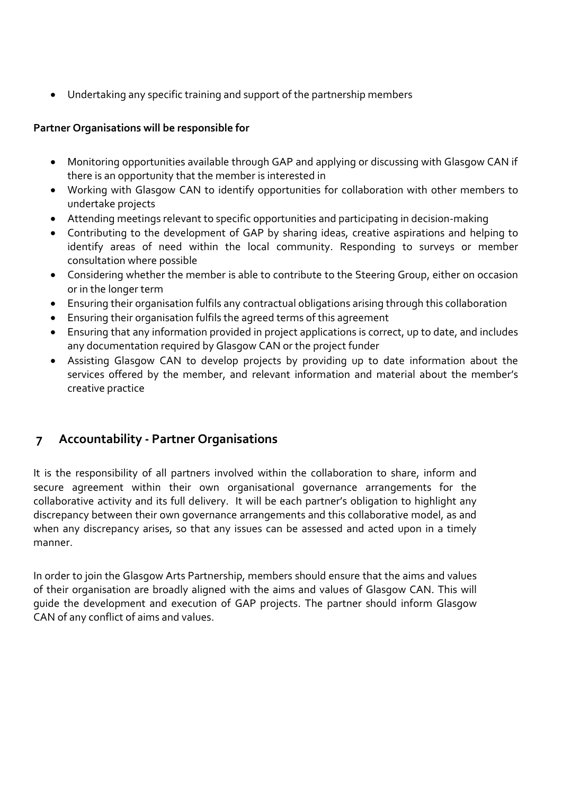• Undertaking any specific training and support of the partnership members

#### **Partner Organisations will be responsible for**

- Monitoring opportunities available through GAP and applying or discussing with Glasgow CAN if there is an opportunity that the member is interested in
- Working with Glasgow CAN to identify opportunities for collaboration with other members to undertake projects
- Attending meetings relevant to specific opportunities and participating in decision-making
- Contributing to the development of GAP by sharing ideas, creative aspirations and helping to identify areas of need within the local community. Responding to surveys or member consultation where possible
- Considering whether the member is able to contribute to the Steering Group, either on occasion or in the longer term
- Ensuring their organisation fulfils any contractual obligations arising through this collaboration
- Ensuring their organisation fulfils the agreed terms of this agreement
- Ensuring that any information provided in project applications is correct, up to date, and includes any documentation required by Glasgow CAN or the project funder
- Assisting Glasgow CAN to develop projects by providing up to date information about the services offered by the member, and relevant information and material about the member's creative practice

## **7 Accountability - Partner Organisations**

It is the responsibility of all partners involved within the collaboration to share, inform and secure agreement within their own organisational governance arrangements for the collaborative activity and its full delivery. It will be each partner's obligation to highlight any discrepancy between their own governance arrangements and this collaborative model, as and when any discrepancy arises, so that any issues can be assessed and acted upon in a timely manner.

In order to join the Glasgow Arts Partnership, members should ensure that the aims and values of their organisation are broadly aligned with the aims and values of Glasgow CAN. This will guide the development and execution of GAP projects. The partner should inform Glasgow CAN of any conflict of aims and values.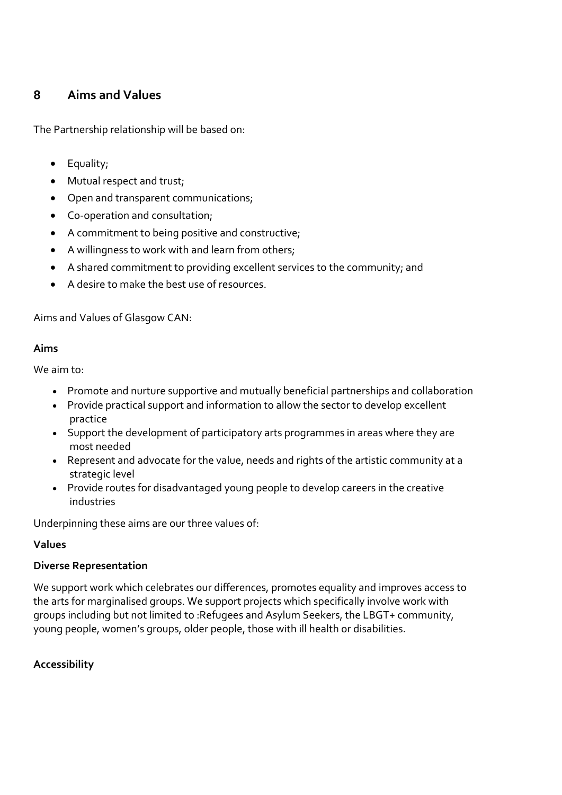## **8 Aims and Values**

The Partnership relationship will be based on:

- Equality;
- Mutual respect and trust;
- Open and transparent communications;
- Co-operation and consultation;
- A commitment to being positive and constructive;
- A willingness to work with and learn from others;
- A shared commitment to providing excellent services to the community; and
- A desire to make the best use of resources.

Aims and Values of Glasgow CAN:

#### **Aims**

We aim to:

- Promote and nurture supportive and mutually beneficial partnerships and collaboration
- Provide practical support and information to allow the sector to develop excellent practice
- Support the development of participatory arts programmes in areas where they are most needed
- Represent and advocate for the value, needs and rights of the artistic community at a strategic level
- Provide routes for disadvantaged young people to develop careers in the creative industries

Underpinning these aims are our three values of:

#### **Values**

#### **Diverse Representation**

We support work which celebrates our differences, promotes equality and improves access to the arts for marginalised groups. We support projects which specifically involve work with groups including but not limited to :Refugees and Asylum Seekers, the LBGT+ community, young people, women's groups, older people, those with ill health or disabilities.

#### **Accessibility**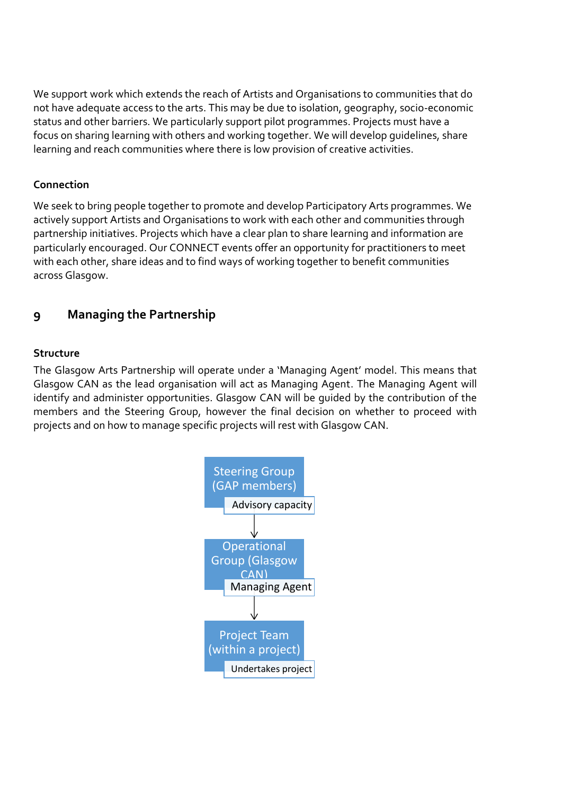We support work which extends the reach of Artists and Organisations to communities that do not have adequate access to the arts. This may be due to isolation, geography, socio-economic status and other barriers. We particularly support pilot programmes. Projects must have a focus on sharing learning with others and working together. We will develop guidelines, share learning and reach communities where there is low provision of creative activities.

#### **Connection**

We seek to bring people together to promote and develop Participatory Arts programmes. We actively support Artists and Organisations to work with each other and communities through partnership initiatives. Projects which have a clear plan to share learning and information are particularly encouraged. Our CONNECT events offer an opportunity for practitioners to meet with each other, share ideas and to find ways of working together to benefit communities across Glasgow.

## **9 Managing the Partnership**

#### **Structure**

The Glasgow Arts Partnership will operate under a 'Managing Agent' model. This means that Glasgow CAN as the lead organisation will act as Managing Agent. The Managing Agent will identify and administer opportunities. Glasgow CAN will be guided by the contribution of the members and the Steering Group, however the final decision on whether to proceed with projects and on how to manage specific projects will rest with Glasgow CAN.

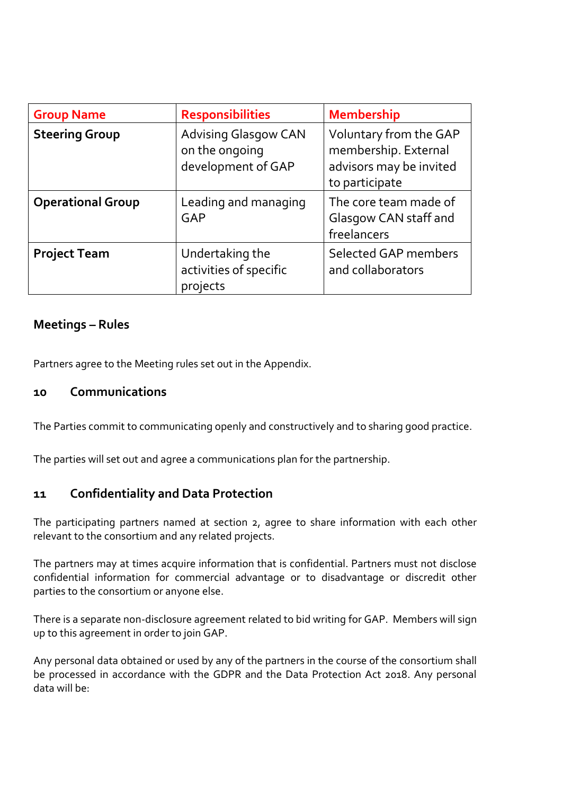| <b>Group Name</b>        | <b>Responsibilities</b>                                             | <b>Membership</b>                                                                           |
|--------------------------|---------------------------------------------------------------------|---------------------------------------------------------------------------------------------|
| <b>Steering Group</b>    | <b>Advising Glasgow CAN</b><br>on the ongoing<br>development of GAP | Voluntary from the GAP<br>membership. External<br>advisors may be invited<br>to participate |
| <b>Operational Group</b> | Leading and managing<br>GAP                                         | The core team made of<br>Glasgow CAN staff and<br>freelancers                               |
| <b>Project Team</b>      | Undertaking the<br>activities of specific<br>projects               | <b>Selected GAP members</b><br>and collaborators                                            |

## **Meetings – Rules**

Partners agree to the Meeting rules set out in the Appendix.

#### **10 Communications**

The Parties commit to communicating openly and constructively and to sharing good practice.

The parties will set out and agree a communications plan for the partnership.

## **11 Confidentiality and Data Protection**

The participating partners named at section 2, agree to share information with each other relevant to the consortium and any related projects.

The partners may at times acquire information that is confidential. Partners must not disclose confidential information for commercial advantage or to disadvantage or discredit other parties to the consortium or anyone else.

There is a separate non-disclosure agreement related to bid writing for GAP. Members will sign up to this agreement in order to join GAP.

Any personal data obtained or used by any of the partners in the course of the consortium shall be processed in accordance with the GDPR and the Data Protection Act 2018. Any personal data will be: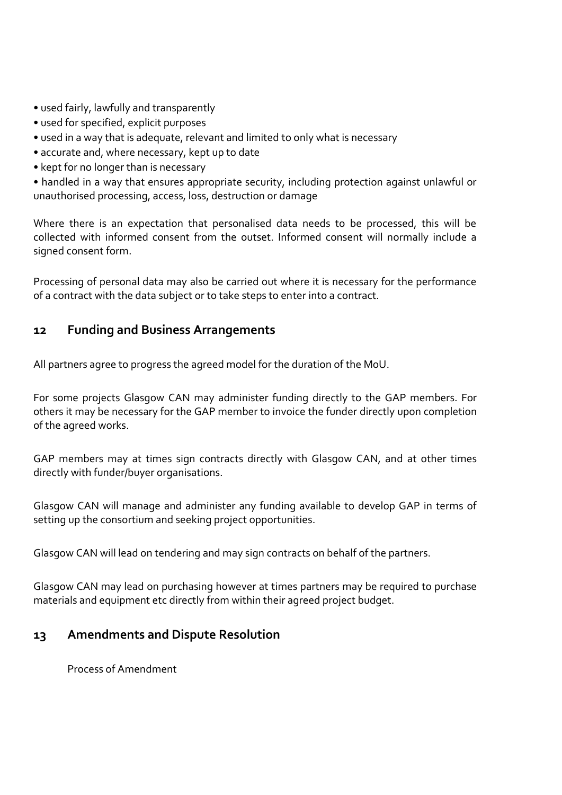- used fairly, lawfully and transparently
- used for specified, explicit purposes
- used in a way that is adequate, relevant and limited to only what is necessary
- accurate and, where necessary, kept up to date
- kept for no longer than is necessary

• handled in a way that ensures appropriate security, including protection against unlawful or unauthorised processing, access, loss, destruction or damage

Where there is an expectation that personalised data needs to be processed, this will be collected with informed consent from the outset. Informed consent will normally include a signed consent form.

Processing of personal data may also be carried out where it is necessary for the performance of a contract with the data subject or to take steps to enter into a contract.

## **12 Funding and Business Arrangements**

All partners agree to progress the agreed model for the duration of the MoU.

For some projects Glasgow CAN may administer funding directly to the GAP members. For others it may be necessary for the GAP member to invoice the funder directly upon completion of the agreed works.

GAP members may at times sign contracts directly with Glasgow CAN, and at other times directly with funder/buyer organisations.

Glasgow CAN will manage and administer any funding available to develop GAP in terms of setting up the consortium and seeking project opportunities.

Glasgow CAN will lead on tendering and may sign contracts on behalf of the partners.

Glasgow CAN may lead on purchasing however at times partners may be required to purchase materials and equipment etc directly from within their agreed project budget.

## **13 Amendments and Dispute Resolution**

Process of Amendment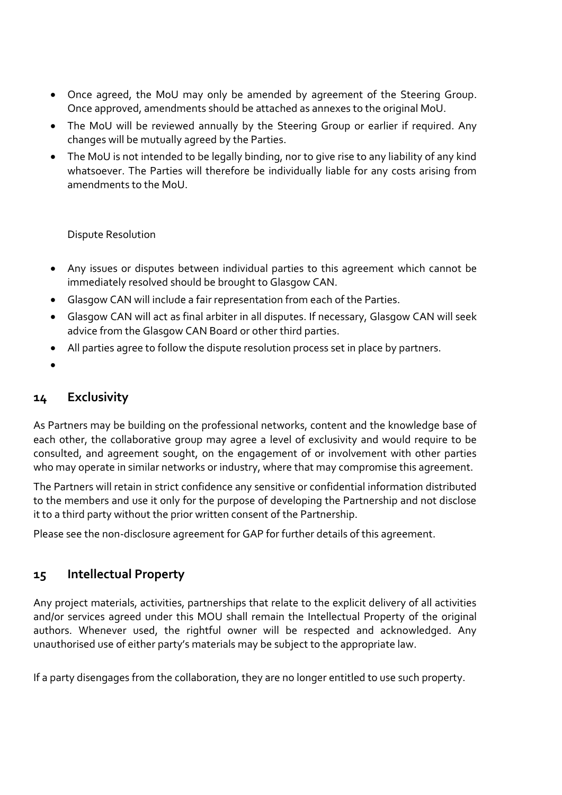- Once agreed, the MoU may only be amended by agreement of the Steering Group. Once approved, amendments should be attached as annexes to the original MoU.
- The MoU will be reviewed annually by the Steering Group or earlier if required. Any changes will be mutually agreed by the Parties.
- The MoU is not intended to be legally binding, nor to give rise to any liability of any kind whatsoever. The Parties will therefore be individually liable for any costs arising from amendments to the MoU.

Dispute Resolution

- Any issues or disputes between individual parties to this agreement which cannot be immediately resolved should be brought to Glasgow CAN.
- Glasgow CAN will include a fair representation from each of the Parties.
- Glasgow CAN will act as final arbiter in all disputes. If necessary, Glasgow CAN will seek advice from the Glasgow CAN Board or other third parties.
- All parties agree to follow the dispute resolution process set in place by partners.
- •

## **14 Exclusivity**

As Partners may be building on the professional networks, content and the knowledge base of each other, the collaborative group may agree a level of exclusivity and would require to be consulted, and agreement sought, on the engagement of or involvement with other parties who may operate in similar networks or industry, where that may compromise this agreement.

The Partners will retain in strict confidence any sensitive or confidential information distributed to the members and use it only for the purpose of developing the Partnership and not disclose it to a third party without the prior written consent of the Partnership.

Please see the non-disclosure agreement for GAP for further details of this agreement.

## **15 Intellectual Property**

Any project materials, activities, partnerships that relate to the explicit delivery of all activities and/or services agreed under this MOU shall remain the Intellectual Property of the original authors. Whenever used, the rightful owner will be respected and acknowledged. Any unauthorised use of either party's materials may be subject to the appropriate law.

If a party disengages from the collaboration, they are no longer entitled to use such property.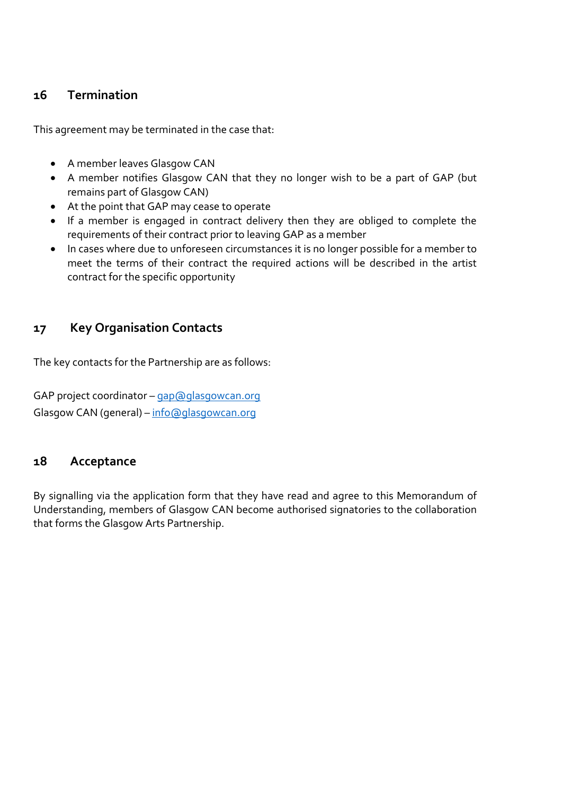## **16 Termination**

This agreement may be terminated in the case that:

- A member leaves Glasgow CAN
- A member notifies Glasgow CAN that they no longer wish to be a part of GAP (but remains part of Glasgow CAN)
- At the point that GAP may cease to operate
- If a member is engaged in contract delivery then they are obliged to complete the requirements of their contract prior to leaving GAP as a member
- In cases where due to unforeseen circumstances it is no longer possible for a member to meet the terms of their contract the required actions will be described in the artist contract for the specific opportunity

## **17 Key Organisation Contacts**

The key contacts for the Partnership are as follows:

GAP project coordinator - [gap@glasgowcan.org](mailto:gap@glasgowcan.org) Glasgow CAN (general) – [info@glasgowcan.org](mailto:info@glasgowcan.org)

## **18 Acceptance**

By signalling via the application form that they have read and agree to this Memorandum of Understanding, members of Glasgow CAN become authorised signatories to the collaboration that forms the Glasgow Arts Partnership.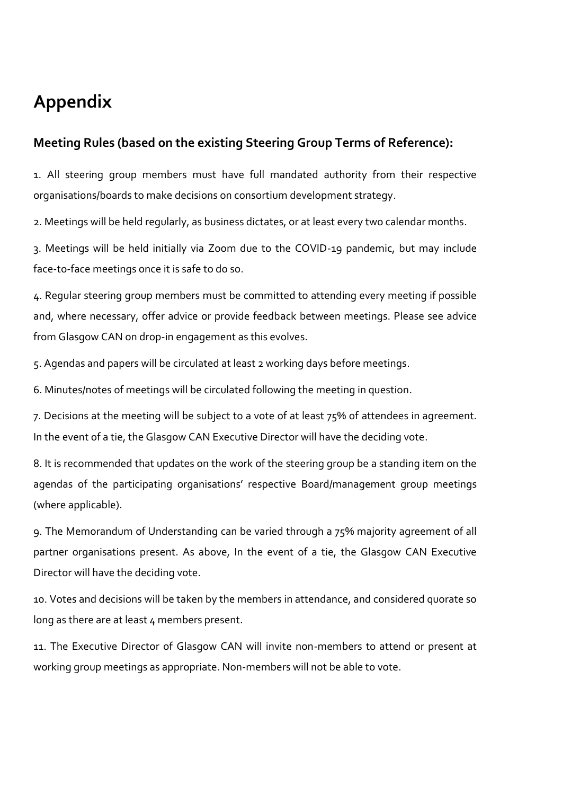## **Appendix**

## **Meeting Rules (based on the existing Steering Group Terms of Reference):**

1. All steering group members must have full mandated authority from their respective organisations/boards to make decisions on consortium development strategy.

2. Meetings will be held regularly, as business dictates, or at least every two calendar months.

3. Meetings will be held initially via Zoom due to the COVID-19 pandemic, but may include face-to-face meetings once it is safe to do so.

4. Regular steering group members must be committed to attending every meeting if possible and, where necessary, offer advice or provide feedback between meetings. Please see advice from Glasgow CAN on drop-in engagement as this evolves.

5. Agendas and papers will be circulated at least 2 working days before meetings.

6. Minutes/notes of meetings will be circulated following the meeting in question.

7. Decisions at the meeting will be subject to a vote of at least 75% of attendees in agreement. In the event of a tie, the Glasgow CAN Executive Director will have the deciding vote.

8. It is recommended that updates on the work of the steering group be a standing item on the agendas of the participating organisations' respective Board/management group meetings (where applicable).

9. The Memorandum of Understanding can be varied through a 75% majority agreement of all partner organisations present. As above, In the event of a tie, the Glasgow CAN Executive Director will have the deciding vote.

10. Votes and decisions will be taken by the members in attendance, and considered quorate so long as there are at least 4 members present.

11. The Executive Director of Glasgow CAN will invite non-members to attend or present at working group meetings as appropriate. Non-members will not be able to vote.